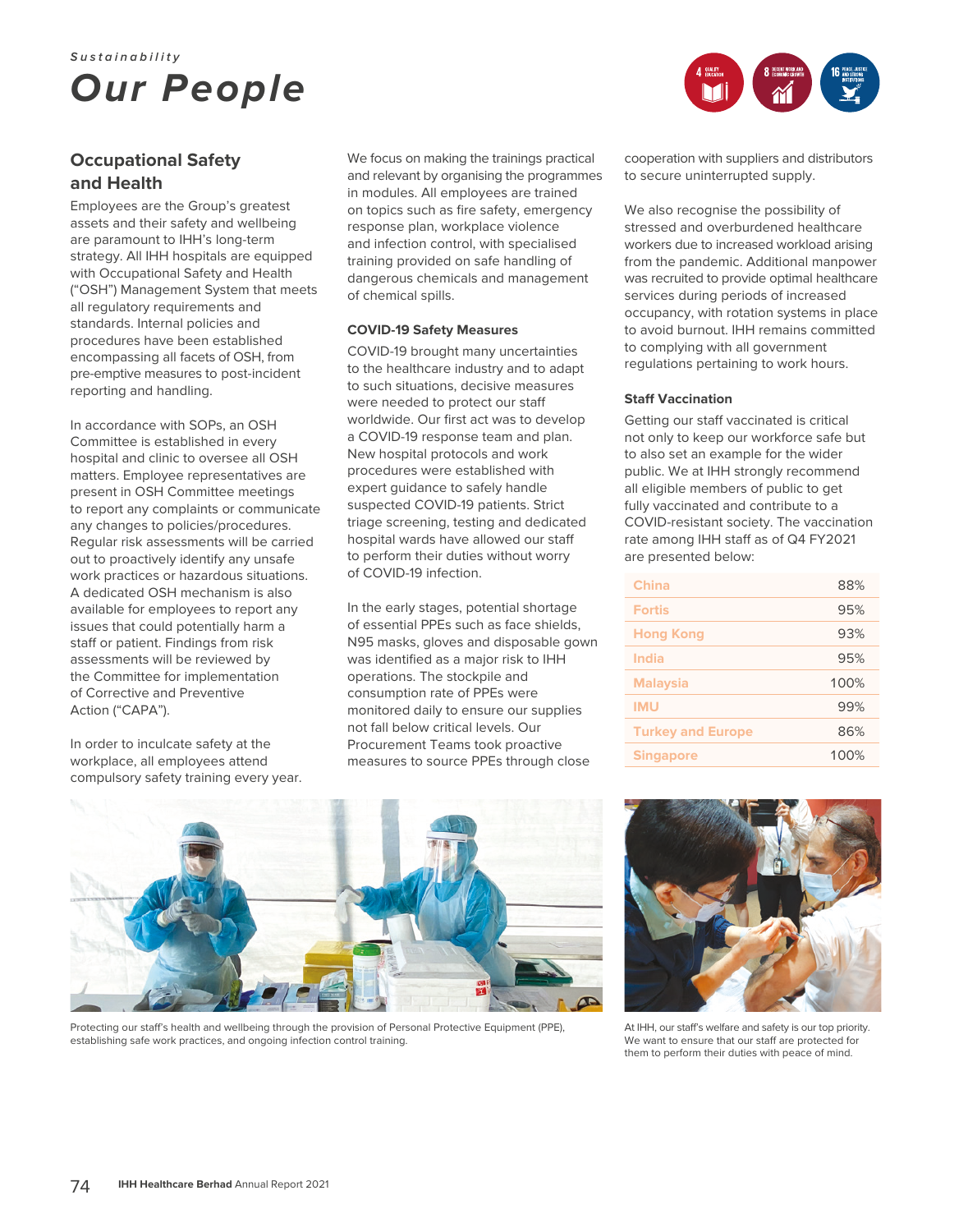# **Sustainability** *Our People*



## **and Health**

Employees are the Group's greatest assets and their safety and wellbeing are paramount to IHH's long-term strategy. All IHH hospitals are equipped with Occupational Safety and Health ("OSH") Management System that meets all regulatory requirements and standards. Internal policies and procedures have been established encompassing all facets of OSH, from pre-emptive measures to post-incident reporting and handling.

In accordance with SOPs, an OSH Committee is established in every hospital and clinic to oversee all OSH matters. Employee representatives are present in OSH Committee meetings to report any complaints or communicate any changes to policies/procedures. Regular risk assessments will be carried out to proactively identify any unsafe work practices or hazardous situations. A dedicated OSH mechanism is also available for employees to report any issues that could potentially harm a staff or patient. Findings from risk assessments will be reviewed by the Committee for implementation of Corrective and Preventive Action ("CAPA").

In order to inculcate safety at the workplace, all employees attend compulsory safety training every year.

We focus on making the trainings practical and relevant by organising the programmes in modules. All employees are trained on topics such as fire safety, emergency response plan, workplace violence and infection control, with specialised training provided on safe handling of dangerous chemicals and management of chemical spills.

#### **COVID-19 Safety Measures**

COVID-19 brought many uncertainties to the healthcare industry and to adapt to such situations, decisive measures were needed to protect our staff worldwide. Our first act was to develop a COVID-19 response team and plan. New hospital protocols and work procedures were established with expert guidance to safely handle suspected COVID-19 patients. Strict triage screening, testing and dedicated hospital wards have allowed our staff to perform their duties without worry of COVID-19 infection.

In the early stages, potential shortage of essential PPEs such as face shields, N95 masks, gloves and disposable gown was identified as a major risk to IHH operations. The stockpile and consumption rate of PPEs were monitored daily to ensure our supplies not fall below critical levels. Our Procurement Teams took proactive measures to source PPEs through close

cooperation with suppliers and distributors to secure uninterrupted supply.

We also recognise the possibility of stressed and overburdened healthcare workers due to increased workload arising from the pandemic. Additional manpower was recruited to provide optimal healthcare services during periods of increased occupancy, with rotation systems in place to avoid burnout. IHH remains committed to complying with all government regulations pertaining to work hours.

#### **Staff Vaccination**

Getting our staff vaccinated is critical not only to keep our workforce safe but to also set an example for the wider public. We at IHH strongly recommend all eligible members of public to get fully vaccinated and contribute to a COVID-resistant society. The vaccination rate among IHH staff as of Q4 FY2021 are presented below:

| <b>China</b>             | 88%  |
|--------------------------|------|
| <b>Fortis</b>            | 95%  |
| <b>Hong Kong</b>         | 93%  |
| India                    | 95%  |
| <b>Malaysia</b>          | 100% |
| <b>IMU</b>               | 99%  |
| <b>Turkey and Europe</b> | 86%  |
| <b>Singapore</b>         | 100% |



Protecting our staff's health and wellbeing through the provision of Personal Protective Equipment (PPE), establishing safe work practices, and ongoing infection control training.



At IHH, our staff's welfare and safety is our top priority. We want to ensure that our staff are protected for them to perform their duties with peace of mind.

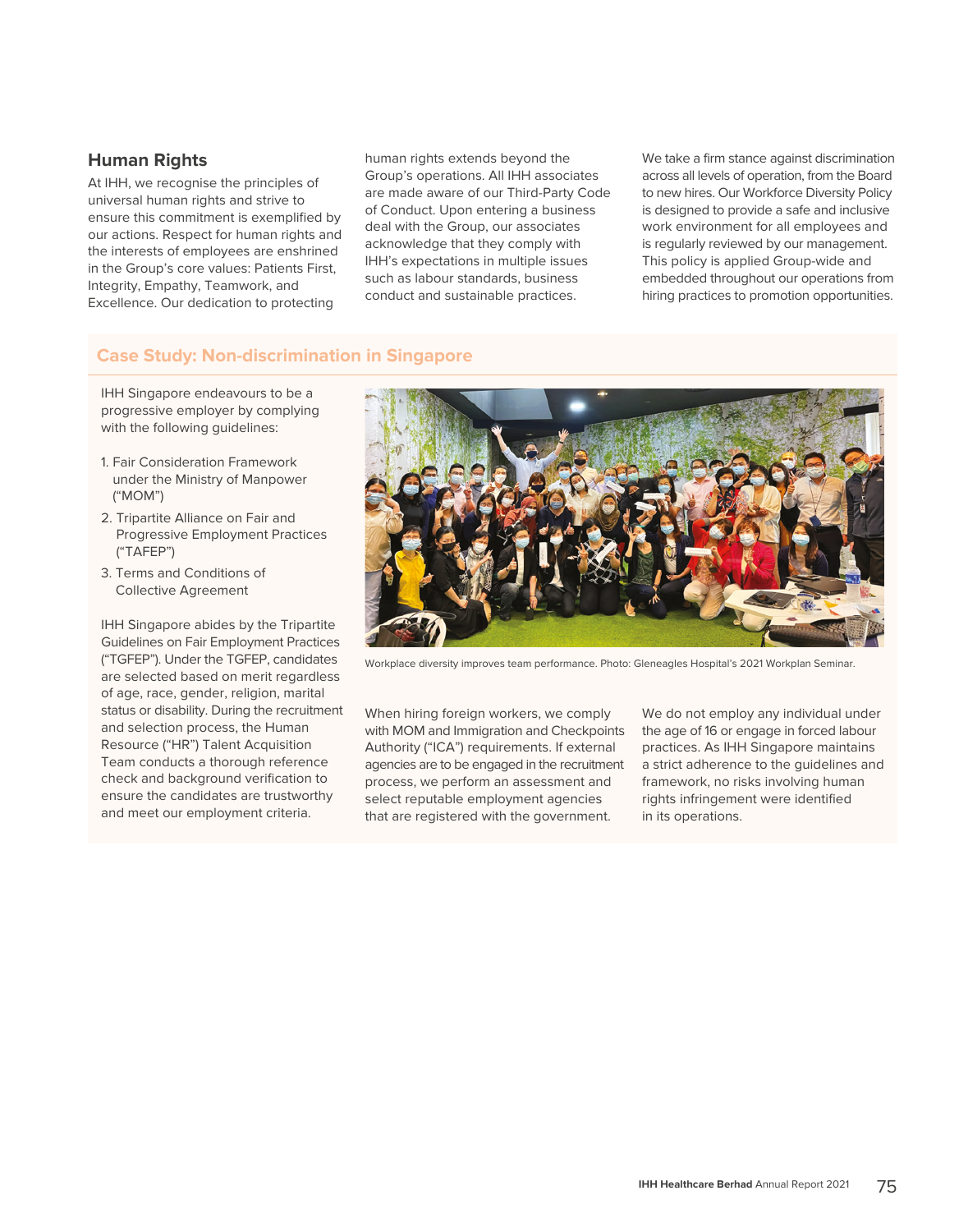## **Human Rights**

At IHH, we recognise the principles of universal human rights and strive to ensure this commitment is exemplified by our actions. Respect for human rights and the interests of employees are enshrined in the Group's core values: Patients First, Integrity, Empathy, Teamwork, and Excellence. Our dedication to protecting

human rights extends beyond the Group's operations. All IHH associates are made aware of our Third-Party Code of Conduct. Upon entering a business deal with the Group, our associates acknowledge that they comply with IHH's expectations in multiple issues such as labour standards, business conduct and sustainable practices.

We take a firm stance against discrimination across all levels of operation, from the Board to new hires. Our Workforce Diversity Policy is designed to provide a safe and inclusive work environment for all employees and is regularly reviewed by our management. This policy is applied Group-wide and embedded throughout our operations from hiring practices to promotion opportunities.

## **Case Study: Non-discrimination in Singapore**

IHH Singapore endeavours to be a progressive employer by complying with the following guidelines:

- 1. Fair Consideration Framework under the Ministry of Manpower ("MOM")
- 2. Tripartite Alliance on Fair and Progressive Employment Practices ("TAFEP")
- 3. Terms and Conditions of Collective Agreement

IHH Singapore abides by the Tripartite Guidelines on Fair Employment Practices ("TGFEP"). Under the TGFEP, candidates are selected based on merit regardless of age, race, gender, religion, marital status or disability. During the recruitment and selection process, the Human Resource ("HR") Talent Acquisition Team conducts a thorough reference check and background verification to ensure the candidates are trustworthy and meet our employment criteria.



Workplace diversity improves team performance. Photo: Gleneagles Hospital's 2021 Workplan Seminar.

When hiring foreign workers, we comply with MOM and Immigration and Checkpoints Authority ("ICA") requirements. If external agencies are to be engaged in the recruitment process, we perform an assessment and select reputable employment agencies that are registered with the government.

We do not employ any individual under the age of 16 or engage in forced labour practices. As IHH Singapore maintains a strict adherence to the guidelines and framework, no risks involving human rights infringement were identified in its operations.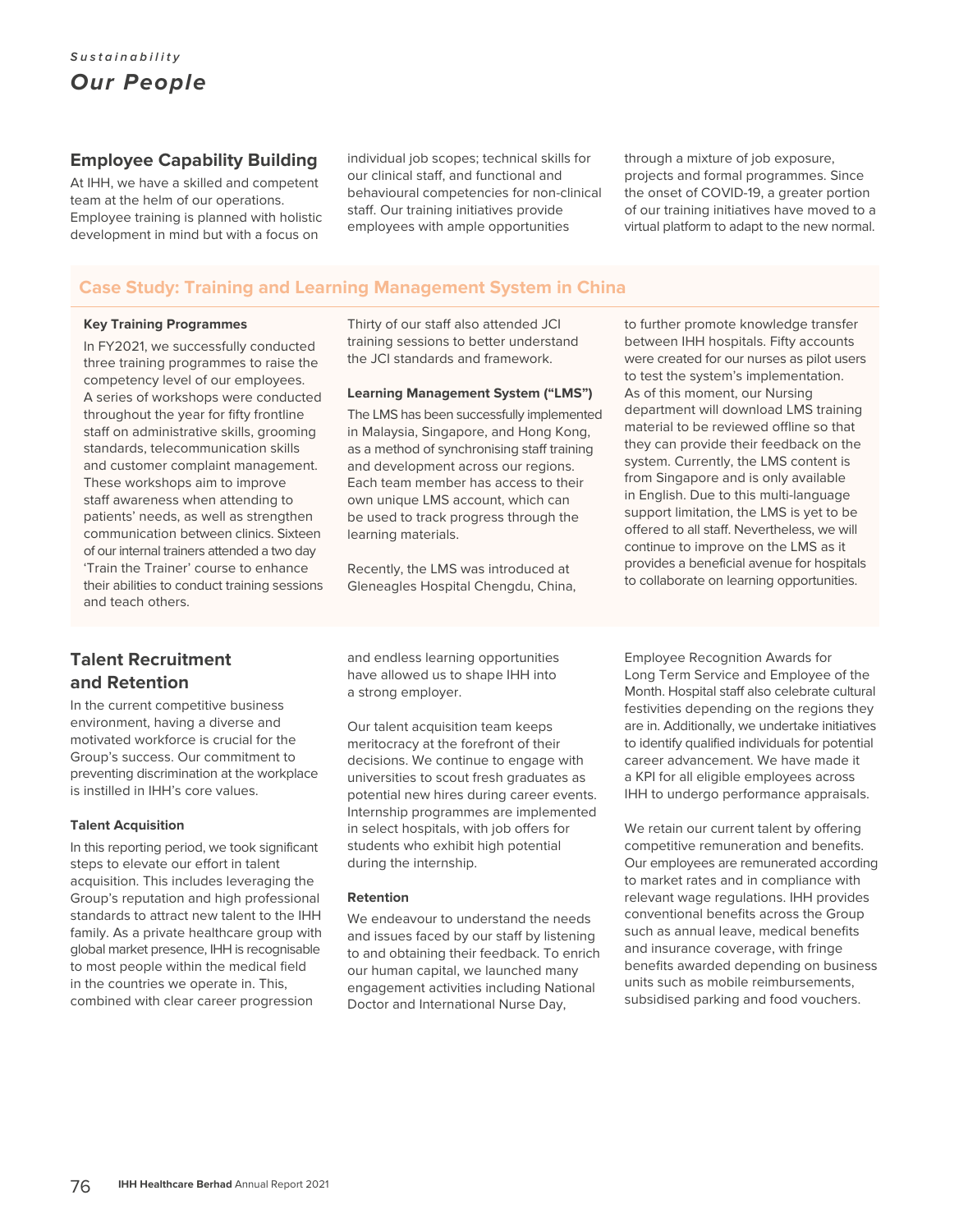### **Employee Capability Building**

At IHH, we have a skilled and competent team at the helm of our operations. Employee training is planned with holistic development in mind but with a focus on

individual job scopes; technical skills for our clinical staff, and functional and behavioural competencies for non-clinical staff. Our training initiatives provide employees with ample opportunities

through a mixture of job exposure, projects and formal programmes. Since the onset of COVID-19, a greater portion of our training initiatives have moved to a virtual platform to adapt to the new normal.

to further promote knowledge transfer

## **Case Study: Training and Learning Management System in China**

#### **Key Training Programmes**

In FY2021, we successfully conducted three training programmes to raise the competency level of our employees. A series of workshops were conducted throughout the year for fifty frontline staff on administrative skills, grooming standards, telecommunication skills and customer complaint management. These workshops aim to improve staff awareness when attending to patients' needs, as well as strengthen communication between clinics. Sixteen of our internal trainers attended a two day 'Train the Trainer' course to enhance their abilities to conduct training sessions and teach others.

Thirty of our staff also attended JCI training sessions to better understand the JCI standards and framework.

#### **Learning Management System ("LMS")**

The LMS has been successfully implemented in Malaysia, Singapore, and Hong Kong, as a method of synchronising staff training and development across our regions. Each team member has access to their own unique LMS account, which can be used to track progress through the learning materials.

Recently, the LMS was introduced at Gleneagles Hospital Chengdu, China, between IHH hospitals. Fifty accounts were created for our nurses as pilot users to test the system's implementation. As of this moment, our Nursing department will download LMS training material to be reviewed offline so that they can provide their feedback on the system. Currently, the LMS content is from Singapore and is only available in English. Due to this multi-language support limitation, the LMS is yet to be offered to all staff. Nevertheless, we will continue to improve on the LMS as it provides a beneficial avenue for hospitals to collaborate on learning opportunities.

# **Talent Recruitment and Retention**

In the current competitive business environment, having a diverse and motivated workforce is crucial for the Group's success. Our commitment to preventing discrimination at the workplace is instilled in IHH's core values.

#### **Talent Acquisition**

In this reporting period, we took significant steps to elevate our effort in talent acquisition. This includes leveraging the Group's reputation and high professional standards to attract new talent to the IHH family. As a private healthcare group with global market presence, IHH is recognisable to most people within the medical field in the countries we operate in. This, combined with clear career progression

and endless learning opportunities have allowed us to shape IHH into a strong employer.

Our talent acquisition team keeps meritocracy at the forefront of their decisions. We continue to engage with universities to scout fresh graduates as potential new hires during career events. Internship programmes are implemented in select hospitals, with job offers for students who exhibit high potential during the internship.

#### **Retention**

We endeavour to understand the needs and issues faced by our staff by listening to and obtaining their feedback. To enrich our human capital, we launched many engagement activities including National Doctor and International Nurse Day,

Employee Recognition Awards for Long Term Service and Employee of the Month. Hospital staff also celebrate cultural festivities depending on the regions they are in. Additionally, we undertake initiatives to identify qualified individuals for potential career advancement. We have made it a KPI for all eligible employees across IHH to undergo performance appraisals.

We retain our current talent by offering competitive remuneration and benefits. Our employees are remunerated according to market rates and in compliance with relevant wage regulations. IHH provides conventional benefits across the Group such as annual leave, medical benefits and insurance coverage, with fringe benefits awarded depending on business units such as mobile reimbursements, subsidised parking and food vouchers.